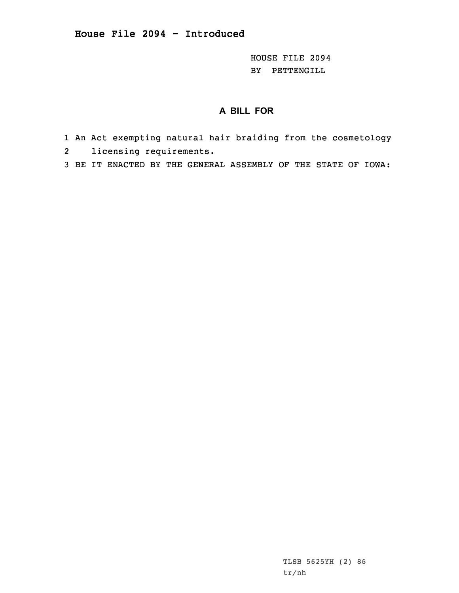HOUSE FILE 2094 BY PETTENGILL

## **A BILL FOR**

- 1 An Act exempting natural hair braiding from the cosmetology
- 2licensing requirements.
- 3 BE IT ENACTED BY THE GENERAL ASSEMBLY OF THE STATE OF IOWA:

TLSB 5625YH (2) 86 tr/nh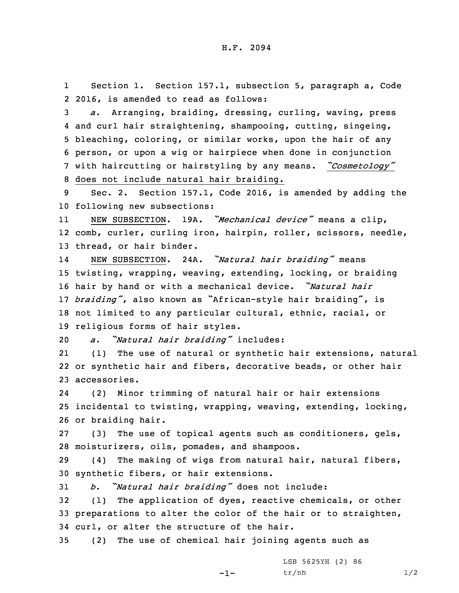1Section 1. Section 157.1, subsection 5, paragraph a, Code 2 2016, is amended to read as follows:

 *a.* Arranging, braiding, dressing, curling, waving, press and curl hair straightening, shampooing, cutting, singeing, bleaching, coloring, or similar works, upon the hair of any person, or upon <sup>a</sup> wig or hairpiece when done in conjunction with haircutting or hairstyling by any means. *"Cosmetology"* does not include natural hair braiding.

9 Sec. 2. Section 157.1, Code 2016, is amended by adding the 10 following new subsections:

11 NEW SUBSECTION. 19A. *"Mechanical device"* means <sup>a</sup> clip, 12 comb, curler, curling iron, hairpin, roller, scissors, needle, 13 thread, or hair binder.

14 NEW SUBSECTION. 24A. *"Natural hair braiding"* means twisting, wrapping, weaving, extending, locking, or braiding hair by hand or with <sup>a</sup> mechanical device. *"Natural hair braiding"*, also known as "African-style hair braiding", is not limited to any particular cultural, ethnic, racial, or religious forms of hair styles.

<sup>20</sup> *a. "Natural hair braiding"* includes:

21 (1) The use of natural or synthetic hair extensions, natural 22 or synthetic hair and fibers, decorative beads, or other hair 23 accessories.

24 (2) Minor trimming of natural hair or hair extensions 25 incidental to twisting, wrapping, weaving, extending, locking, 26 or braiding hair.

27 (3) The use of topical agents such as conditioners, gels, 28 moisturizers, oils, pomades, and shampoos.

29 (4) The making of wigs from natural hair, natural fibers, 30 synthetic fibers, or hair extensions.

<sup>31</sup> *b. "Natural hair braiding"* does not include:

32 (1) The application of dyes, reactive chemicals, or other 33 preparations to alter the color of the hair or to straighten, 34 curl, or alter the structure of the hair.

-1-

35 (2) The use of chemical hair joining agents such as

LSB 5625YH (2) 86  $tr/nh$  1/2